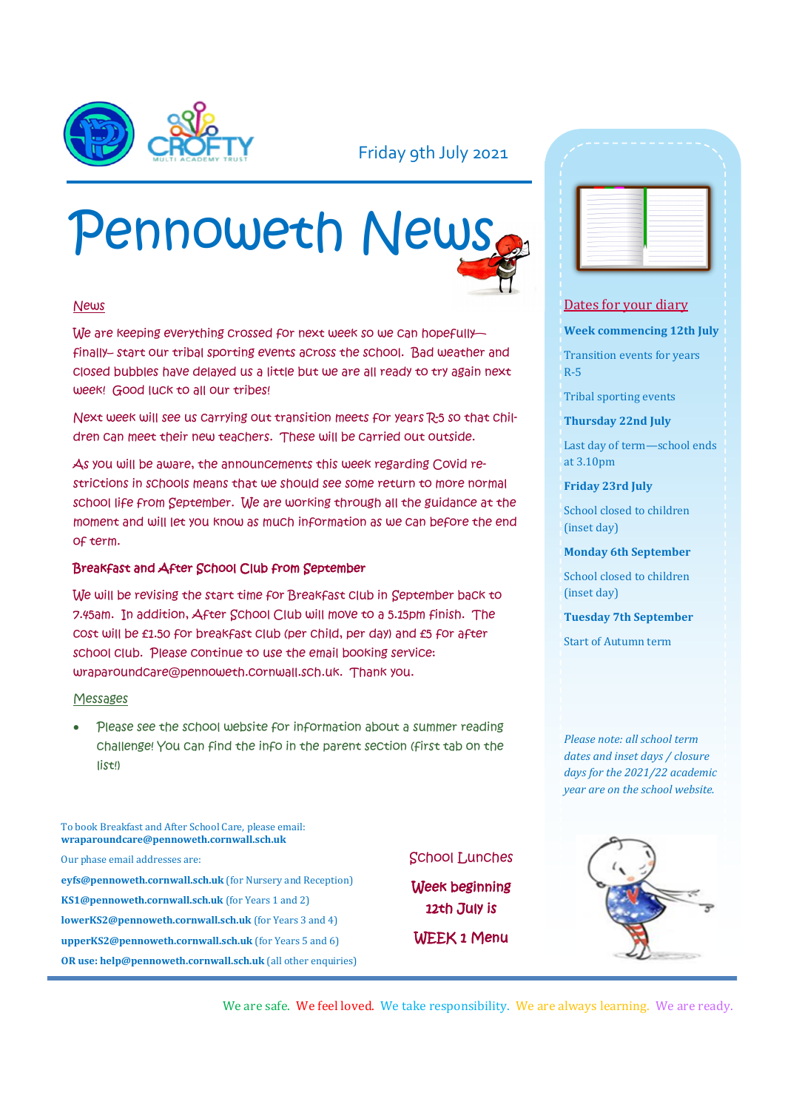

## Friday 9th July 2021

# Pennoweth News

## News

We are keeping everything crossed for next week so we can hopefully finally– start our tribal sporting events across the school. Bad weather and closed bubbles have delayed us a little but we are all ready to try again next week! Good luck to all our tribes!

Next week will see us carrying out transition meets for years R-5 so that children can meet their new teachers. These will be carried out outside.

As you will be aware, the announcements this week regarding Covid restrictions in schools means that we should see some return to more normal school life from September. We are working through all the guidance at the moment and will let you know as much information as we can before the end of term.

#### Breakfast and After School Club from September

We will be revising the start time for Breakfast club in September back to 7.45am. In addition, After School Club will move to a 5.15pm finish. The cost will be £1.50 for breakfast club (per child, per day) and £5 for after school club. Please continue to use the email booking service: wraparoundcare@pennoweth.cornwall.sch.uk. Thank you.

#### Messages

Please see the school website for information about a summer reading challenge! You can find the info in the parent section (first tab on the list!)

To book Breakfast and After School Care, please email: **wraparoundcare@pennoweth.cornwall.sch.uk**

Our phase email addresses are:

**eyfs@pennoweth.cornwall.sch.uk** (for Nursery and Reception) **KS1@pennoweth.cornwall.sch.uk** (for Years 1 and 2) **lowerKS2@pennoweth.cornwall.sch.uk** (for Years 3 and 4) **upperKS2@pennoweth.cornwall.sch.uk** (for Years 5 and 6) **OR use: help@pennoweth.cornwall.sch.uk** (all other enquiries)



Week beginning 12th July is WEEK 1 Menu

| -                 |                     |
|-------------------|---------------------|
| - 1               |                     |
| ÷                 |                     |
| ۰                 | ۰                   |
| -                 |                     |
|                   | ۰                   |
| - 1               | ۰                   |
| --                | <b>Service</b><br>٠ |
| $\sim$            |                     |
| <b>STATISTICS</b> |                     |
| $\sim$            |                     |
| ٠                 |                     |
| ٠                 | ۰                   |
| -                 | ۰                   |
|                   |                     |

#### Dates for your diary

**Week commencing 12th July**

Transition events for years R-5

Tribal sporting events

**Thursday 22nd July**

Last day of term—school ends at 3.10pm

**Friday 23rd July**

School closed to children (inset day)

**Monday 6th September**

School closed to children (inset day)

**Tuesday 7th September**

Start of Autumn term

*Please note: all school term dates and inset days / closure days for the 2021/22 academic year are on the school website.* 



We are safe. We feel loved. We take responsibility. We are always learning. We are ready.